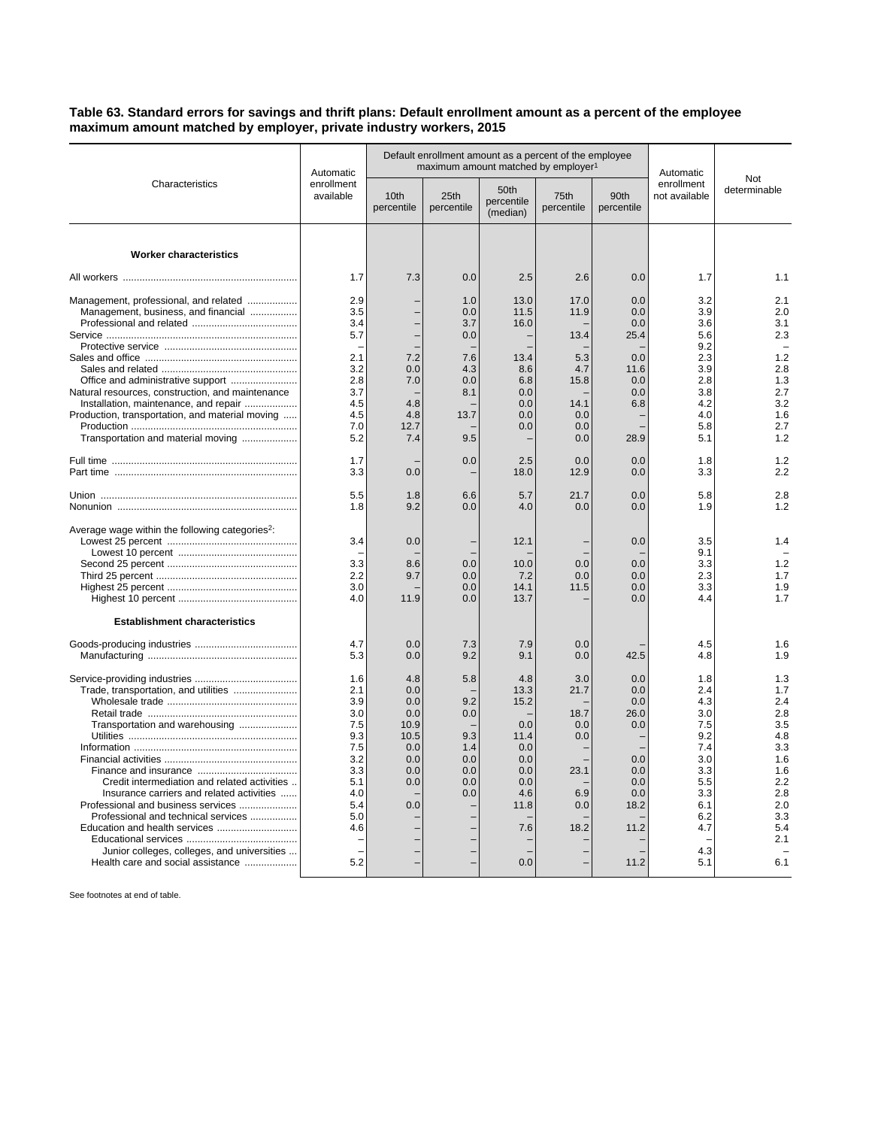## **Table 63. Standard errors for savings and thrift plans: Default enrollment amount as a percent of the employee maximum amount matched by employer, private industry workers, 2015**

| Characteristics                                                                                                                                                                                                                                                                                                                      | Automatic<br>enrollment<br>available                                                                  | Default enrollment amount as a percent of the employee<br>maximum amount matched by employer <sup>1</sup> |                                                             |                                                                                             |                                                                 |                                                                                      | Automatic                                                                                                    |                                                                                                              |
|--------------------------------------------------------------------------------------------------------------------------------------------------------------------------------------------------------------------------------------------------------------------------------------------------------------------------------------|-------------------------------------------------------------------------------------------------------|-----------------------------------------------------------------------------------------------------------|-------------------------------------------------------------|---------------------------------------------------------------------------------------------|-----------------------------------------------------------------|--------------------------------------------------------------------------------------|--------------------------------------------------------------------------------------------------------------|--------------------------------------------------------------------------------------------------------------|
|                                                                                                                                                                                                                                                                                                                                      |                                                                                                       | 10th<br>percentile                                                                                        | 25th<br>percentile                                          | 50th<br>percentile<br>(median)                                                              | 75th<br>percentile                                              | 90th<br>percentile                                                                   | enrollment<br>not available                                                                                  | Not<br>determinable                                                                                          |
| <b>Worker characteristics</b>                                                                                                                                                                                                                                                                                                        |                                                                                                       |                                                                                                           |                                                             |                                                                                             |                                                                 |                                                                                      |                                                                                                              |                                                                                                              |
|                                                                                                                                                                                                                                                                                                                                      | 1.7                                                                                                   | 7.3                                                                                                       | 0.0                                                         | 2.5                                                                                         | 2.6                                                             | 0.0                                                                                  | 1.7                                                                                                          | 1.1                                                                                                          |
| Management, professional, and related<br>Management, business, and financial                                                                                                                                                                                                                                                         | 2.9<br>3.5<br>3.4                                                                                     |                                                                                                           | 1.0<br>0.0<br>3.7                                           | 13.0<br>11.5<br>16.0                                                                        | 17.0<br>11.9                                                    | 0.0<br>0.0<br>0.0                                                                    | 3.2<br>3.9<br>3.6                                                                                            | 2.1<br>2.0<br>3.1                                                                                            |
|                                                                                                                                                                                                                                                                                                                                      | 5.7                                                                                                   |                                                                                                           | 0.0                                                         |                                                                                             | 13.4                                                            | 25.4                                                                                 | 5.6<br>9.2                                                                                                   | 2.3                                                                                                          |
| Office and administrative support                                                                                                                                                                                                                                                                                                    | 2.1<br>3.2<br>2.8                                                                                     | 7.2<br>0.0<br>7.0                                                                                         | 7.6<br>4.3<br>0.0                                           | 13.4<br>8.6<br>6.8                                                                          | 5.3<br>4.7<br>15.8                                              | 0.0<br>11.6<br>0.0                                                                   | 2.3<br>3.9<br>2.8                                                                                            | 1.2<br>2.8<br>1.3                                                                                            |
| Natural resources, construction, and maintenance<br>Installation, maintenance, and repair<br>Production, transportation, and material moving<br>Transportation and material moving                                                                                                                                                   | 3.7<br>4.5<br>4.5<br>7.0<br>5.2                                                                       | 4.8<br>4.8<br>12.7<br>7.4                                                                                 | 8.1<br>13.7<br>9.5                                          | 0.0<br>0.0<br>0.0<br>0.0                                                                    | 14.1<br>0.0<br>0.0<br>0.0                                       | 0.0<br>6.8<br>28.9                                                                   | 3.8<br>4.2<br>4.0<br>5.8<br>5.1                                                                              | 2.7<br>3.2<br>1.6<br>2.7<br>1.2                                                                              |
|                                                                                                                                                                                                                                                                                                                                      | 1.7<br>3.3                                                                                            | 0.0                                                                                                       | 0.0                                                         | 2.5<br>18.0                                                                                 | 0.0<br>12.9                                                     | 0.0<br>0.0                                                                           | 1.8<br>3.3                                                                                                   | 1.2<br>2.2                                                                                                   |
|                                                                                                                                                                                                                                                                                                                                      | 5.5<br>1.8                                                                                            | 1.8<br>9.2                                                                                                | 6.6<br>0.0                                                  | 5.7<br>4.0                                                                                  | 21.7<br>0.0                                                     | 0.0<br>0.0                                                                           | 5.8<br>1.9                                                                                                   | 2.8<br>1.2                                                                                                   |
| Average wage within the following categories <sup>2</sup> :                                                                                                                                                                                                                                                                          | 3.4<br>3.3<br>2.2<br>3.0<br>4.0                                                                       | 0.0<br>8.6<br>9.7<br>11.9                                                                                 | 0.0<br>0.0<br>0.0<br>0.0                                    | 12.1<br>10.0<br>7.2<br>14.1<br>13.7                                                         | 0.0<br>0.0<br>11.5                                              | 0.0<br>0.0<br>0.0<br>0.0<br>0.0                                                      | 3.5<br>9.1<br>3.3<br>2.3<br>3.3<br>4.4                                                                       | 1.4<br>1.2<br>1.7<br>1.9<br>1.7                                                                              |
| <b>Establishment characteristics</b>                                                                                                                                                                                                                                                                                                 |                                                                                                       |                                                                                                           |                                                             |                                                                                             |                                                                 |                                                                                      |                                                                                                              |                                                                                                              |
|                                                                                                                                                                                                                                                                                                                                      | 4.7<br>5.3                                                                                            | 0.0<br>0.0                                                                                                | 7.3<br>9.2                                                  | 7.9<br>9.1                                                                                  | 0.0<br>0.0                                                      | 42.5                                                                                 | 4.5<br>4.8                                                                                                   | 1.6<br>1.9                                                                                                   |
| Trade, transportation, and utilities<br>Transportation and warehousing<br>Credit intermediation and related activities<br>Insurance carriers and related activities<br>Professional and business services<br>Professional and technical services<br>Junior colleges, colleges, and universities<br>Health care and social assistance | 1.6<br>2.1<br>3.9<br>3.0<br>7.5<br>9.3<br>7.5<br>3.2<br>3.3<br>5.1<br>4.0<br>5.4<br>5.0<br>4.6<br>5.2 | 4.8<br>0.0<br>0.0<br>0.0<br>10.9<br>10.5<br>0.0<br>0.0<br>0.0<br>0.0<br>0.0                               | 5.8<br>9.2<br>0.0<br>9.3<br>1.4<br>0.0<br>0.0<br>0.0<br>0.0 | 4.8<br>13.3<br>15.2<br>0.0<br>11.4<br>0.0<br>0.0<br>0.0<br>0.0<br>4.6<br>11.8<br>7.6<br>0.0 | 3.0<br>21.7<br>18.7<br>0.0<br>0.0<br>23.1<br>6.9<br>0.0<br>18.2 | 0.0<br>0.0<br>0.0<br>26.0<br>0.0<br>0.0<br>0.0<br>0.0<br>0.0<br>18.2<br>11.2<br>11.2 | 1.8<br>2.4<br>4.3<br>3.0<br>7.5<br>9.2<br>7.4<br>3.0<br>3.3<br>5.5<br>3.3<br>6.1<br>6.2<br>4.7<br>4.3<br>5.1 | 1.3<br>1.7<br>2.4<br>2.8<br>3.5<br>4.8<br>3.3<br>1.6<br>1.6<br>2.2<br>2.8<br>2.0<br>3.3<br>5.4<br>2.1<br>6.1 |

See footnotes at end of table.